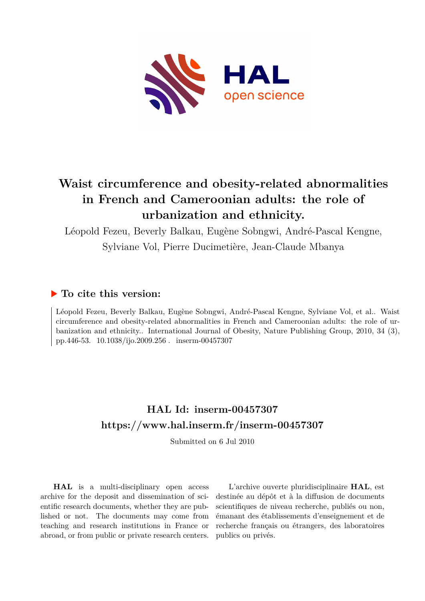

# **Waist circumference and obesity-related abnormalities in French and Cameroonian adults: the role of urbanization and ethnicity.**

Léopold Fezeu, Beverly Balkau, Eugène Sobngwi, André-Pascal Kengne, Sylviane Vol, Pierre Ducimetière, Jean-Claude Mbanya

## **To cite this version:**

Léopold Fezeu, Beverly Balkau, Eugène Sobngwi, André-Pascal Kengne, Sylviane Vol, et al.. Waist circumference and obesity-related abnormalities in French and Cameroonian adults: the role of urbanization and ethnicity.. International Journal of Obesity, Nature Publishing Group, 2010, 34 (3), pp.446-53. 10.1038/ijo.2009.256. inserm-00457307

## **HAL Id: inserm-00457307 <https://www.hal.inserm.fr/inserm-00457307>**

Submitted on 6 Jul 2010

**HAL** is a multi-disciplinary open access archive for the deposit and dissemination of scientific research documents, whether they are published or not. The documents may come from teaching and research institutions in France or abroad, or from public or private research centers.

L'archive ouverte pluridisciplinaire **HAL**, est destinée au dépôt et à la diffusion de documents scientifiques de niveau recherche, publiés ou non, émanant des établissements d'enseignement et de recherche français ou étrangers, des laboratoires publics ou privés.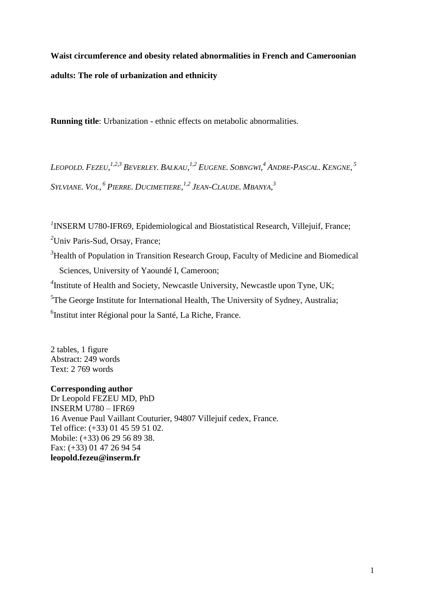**Waist circumference and obesity related abnormalities in French and Cameroonian adults: The role of urbanization and ethnicity**

**Running title**: Urbanization - ethnic effects on metabolic abnormalities.

Leopold. Fezeu,<sup>1,2,3</sup> Beverley. Balkau,<sup>1,2</sup> Eugene. Sobngwi,<sup>4</sup> Andre-Pascal. Kengne, <sup>5</sup> Sylviane. Vol, <sup>6</sup> Pierre. Ducimetiere, <sup>1,2</sup> Jean-Claude. Mbanya, <sup>3</sup>

<sup>1</sup> INSERM U780-IFR69, Epidemiological and Biostatistical Research, Villejuif, France;

*<sup>2</sup>*Univ Paris-Sud, Orsay, France;

<sup>3</sup>Health of Population in Transition Research Group, Faculty of Medicine and Biomedical Sciences, University of Yaoundé I, Cameroon;

<sup>4</sup>Institute of Health and Society, Newcastle University, Newcastle upon Tyne, UK;

<sup>5</sup>The George Institute for International Health, The University of Sydney, Australia;

<sup>6</sup>Institut inter Régional pour la Santé, La Riche, France.

2 tables, 1 figure Abstract: 249 words Text: 2 769 words

## **Corresponding author**

Dr Leopold FEZEU MD, PhD INSERM U780 – IFR69 16 Avenue Paul Vaillant Couturier, 94807 Villejuif cedex, France. Tel office: (+33) 01 45 59 51 02. Mobile: (+33) 06 29 56 89 38. Fax: (+33) 01 47 26 94 54 **leopold.fezeu@inserm.fr**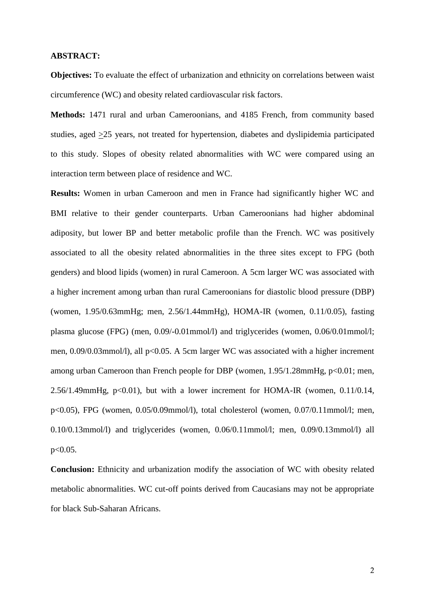#### **ABSTRACT:**

**Objectives:** To evaluate the effect of urbanization and ethnicity on correlations between waist circumference (WC) and obesity related cardiovascular risk factors.

**Methods:** 1471 rural and urban Cameroonians, and 4185 French, from community based studies, aged >25 years, not treated for hypertension, diabetes and dyslipidemia participated to this study. Slopes of obesity related abnormalities with WC were compared using an interaction term between place of residence and WC.

**Results:** Women in urban Cameroon and men in France had significantly higher WC and BMI relative to their gender counterparts. Urban Cameroonians had higher abdominal adiposity, but lower BP and better metabolic profile than the French. WC was positively associated to all the obesity related abnormalities in the three sites except to FPG (both genders) and blood lipids (women) in rural Cameroon. A 5cm larger WC was associated with a higher increment among urban than rural Cameroonians for diastolic blood pressure (DBP) (women, 1.95/0.63mmHg; men, 2.56/1.44mmHg), HOMA-IR (women, 0.11/0.05), fasting plasma glucose (FPG) (men, 0.09/-0.01mmol/l) and triglycerides (women, 0.06/0.01mmol/l; men, 0.09/0.03mmol/l), all p<0.05. A 5cm larger WC was associated with a higher increment among urban Cameroon than French people for DBP (women, 1.95/1.28mmHg, p<0.01; men,  $2.56/1.49$ mmHg, p<0.01), but with a lower increment for HOMA-IR (women, 0.11/0.14, p<0.05), FPG (women, 0.05/0.09mmol/l), total cholesterol (women, 0.07/0.11mmol/l; men, 0.10/0.13mmol/l) and triglycerides (women, 0.06/0.11mmol/l; men, 0.09/0.13mmol/l) all p<0.05.

**Conclusion:** Ethnicity and urbanization modify the association of WC with obesity related metabolic abnormalities. WC cut-off points derived from Caucasians may not be appropriate for black Sub-Saharan Africans.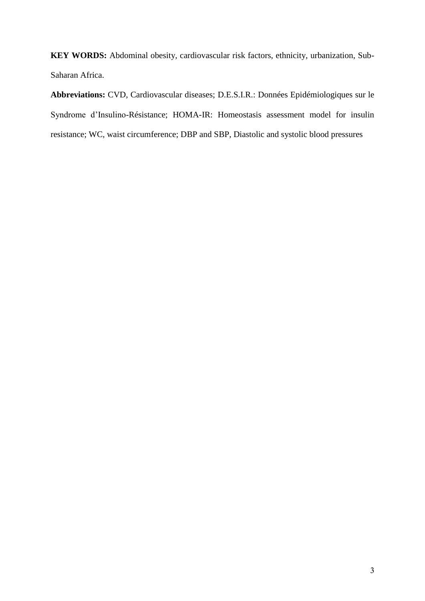**KEY WORDS:** Abdominal obesity, cardiovascular risk factors, ethnicity, urbanization, Sub-Saharan Africa.

**Abbreviations:** CVD, Cardiovascular diseases; D.E.S.I.R.: Données Epidémiologiques sur le Syndrome d'Insulino-Résistance; HOMA-IR: Homeostasis assessment model for insulin resistance; WC, waist circumference; DBP and SBP, Diastolic and systolic blood pressures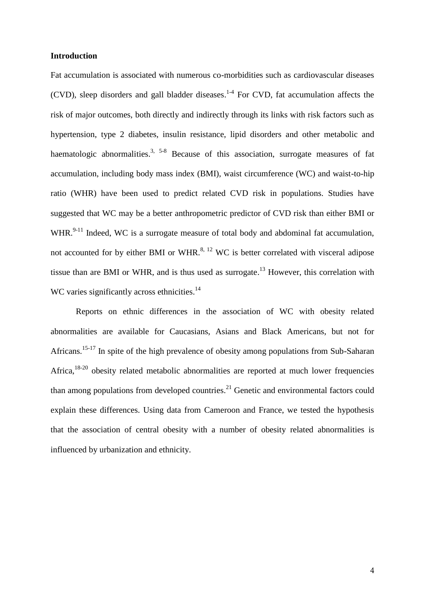## **Introduction**

Fat accumulation is associated with numerous co-morbidities such as cardiovascular diseases (CVD), sleep disorders and gall bladder diseases. 1-4 For CVD, fat accumulation affects the risk of major outcomes, both directly and indirectly through its links with risk factors such as hypertension, type 2 diabetes, insulin resistance, lipid disorders and other metabolic and haematologic abnormalities.<sup>3, 5-8</sup> Because of this association, surrogate measures of fat accumulation, including body mass index (BMI), waist circumference (WC) and waist-to-hip ratio (WHR) have been used to predict related CVD risk in populations. Studies have suggested that WC may be a better anthropometric predictor of CVD risk than either BMI or WHR. $9-11$  Indeed, WC is a surrogate measure of total body and abdominal fat accumulation, not accounted for by either BMI or WHR.<sup>8, 12</sup> WC is better correlated with visceral adipose tissue than are BMI or WHR, and is thus used as surrogate.<sup>13</sup> However, this correlation with WC varies significantly across ethnicities.<sup>14</sup>

Reports on ethnic differences in the association of WC with obesity related abnormalities are available for Caucasians, Asians and Black Americans, but not for Africans.<sup>15-17</sup> In spite of the high prevalence of obesity among populations from Sub-Saharan Africa,<sup>18-20</sup> obesity related metabolic abnormalities are reported at much lower frequencies than among populations from developed countries. $^{21}$  Genetic and environmental factors could explain these differences. Using data from Cameroon and France, we tested the hypothesis that the association of central obesity with a number of obesity related abnormalities is influenced by urbanization and ethnicity.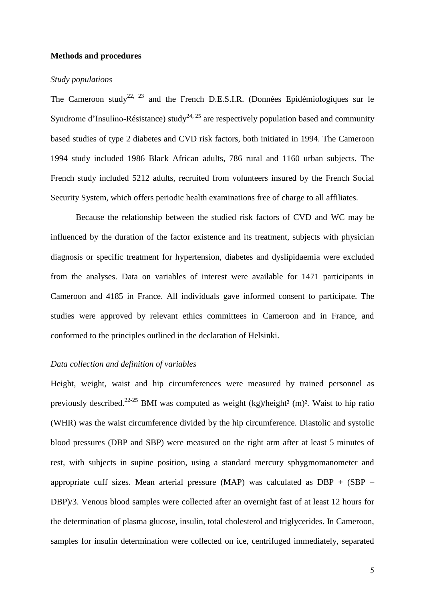#### **Methods and procedures**

#### *Study populations*

The Cameroon study<sup>22, 23</sup> and the French D.E.S.I.R. (Données Epidémiologiques sur le Syndrome d'Insulino-Résistance) study<sup>24, 25</sup> are respectively population based and community based studies of type 2 diabetes and CVD risk factors, both initiated in 1994. The Cameroon 1994 study included 1986 Black African adults, 786 rural and 1160 urban subjects. The French study included 5212 adults, recruited from volunteers insured by the French Social Security System, which offers periodic health examinations free of charge to all affiliates.

Because the relationship between the studied risk factors of CVD and WC may be influenced by the duration of the factor existence and its treatment, subjects with physician diagnosis or specific treatment for hypertension, diabetes and dyslipidaemia were excluded from the analyses. Data on variables of interest were available for 1471 participants in Cameroon and 4185 in France. All individuals gave informed consent to participate. The studies were approved by relevant ethics committees in Cameroon and in France, and conformed to the principles outlined in the declaration of Helsinki.

## *Data collection and definition of variables*

Height, weight, waist and hip circumferences were measured by trained personnel as previously described.<sup>22-25</sup> BMI was computed as weight (kg)/height<sup>2</sup> (m)<sup>2</sup>. Waist to hip ratio (WHR) was the waist circumference divided by the hip circumference. Diastolic and systolic blood pressures (DBP and SBP) were measured on the right arm after at least 5 minutes of rest, with subjects in supine position, using a standard mercury sphygmomanometer and appropriate cuff sizes. Mean arterial pressure (MAP) was calculated as  $DBP + (SBP -$ DBP)/3. Venous blood samples were collected after an overnight fast of at least 12 hours for the determination of plasma glucose, insulin, total cholesterol and triglycerides. In Cameroon, samples for insulin determination were collected on ice, centrifuged immediately, separated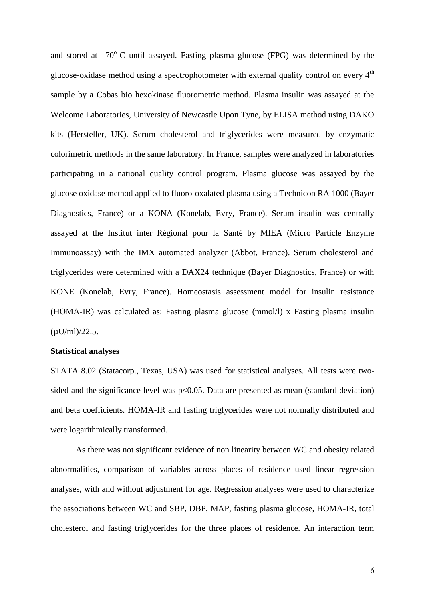and stored at  $-70^{\circ}$  C until assayed. Fasting plasma glucose (FPG) was determined by the glucose-oxidase method using a spectrophotometer with external quality control on every 4<sup>th</sup> sample by a Cobas bio hexokinase fluorometric method. Plasma insulin was assayed at the Welcome Laboratories, University of Newcastle Upon Tyne, by ELISA method using DAKO kits (Hersteller, UK). Serum cholesterol and triglycerides were measured by enzymatic colorimetric methods in the same laboratory. In France, samples were analyzed in laboratories participating in a national quality control program. Plasma glucose was assayed by the glucose oxidase method applied to fluoro-oxalated plasma using a Technicon RA 1000 (Bayer Diagnostics, France) or a KONA (Konelab, Evry, France). Serum insulin was centrally assayed at the Institut inter Régional pour la Santé by MIEA (Micro Particle Enzyme Immunoassay) with the IMX automated analyzer (Abbot, France). Serum cholesterol and triglycerides were determined with a DAX24 technique (Bayer Diagnostics, France) or with KONE (Konelab, Evry, France). Homeostasis assessment model for insulin resistance (HOMA-IR) was calculated as: Fasting plasma glucose (mmol/l) x Fasting plasma insulin  $(\mu U/ml)/22.5.$ 

## **Statistical analyses**

STATA 8.02 (Statacorp., Texas, USA) was used for statistical analyses. All tests were twosided and the significance level was  $p<0.05$ . Data are presented as mean (standard deviation) and beta coefficients. HOMA-IR and fasting triglycerides were not normally distributed and were logarithmically transformed.

As there was not significant evidence of non linearity between WC and obesity related abnormalities, comparison of variables across places of residence used linear regression analyses, with and without adjustment for age. Regression analyses were used to characterize the associations between WC and SBP, DBP, MAP, fasting plasma glucose, HOMA-IR, total cholesterol and fasting triglycerides for the three places of residence. An interaction term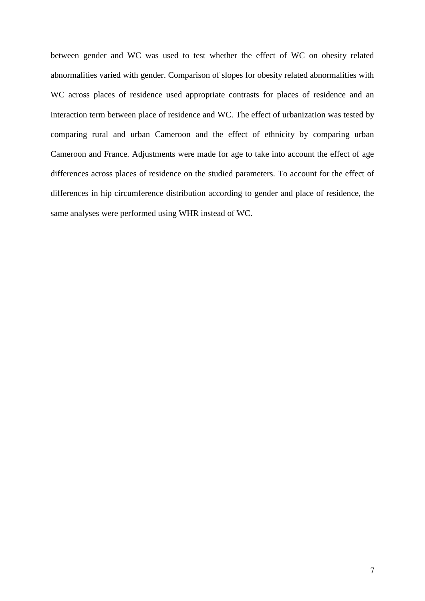between gender and WC was used to test whether the effect of WC on obesity related abnormalities varied with gender. Comparison of slopes for obesity related abnormalities with WC across places of residence used appropriate contrasts for places of residence and an interaction term between place of residence and WC. The effect of urbanization was tested by comparing rural and urban Cameroon and the effect of ethnicity by comparing urban Cameroon and France. Adjustments were made for age to take into account the effect of age differences across places of residence on the studied parameters. To account for the effect of differences in hip circumference distribution according to gender and place of residence, the same analyses were performed using WHR instead of WC.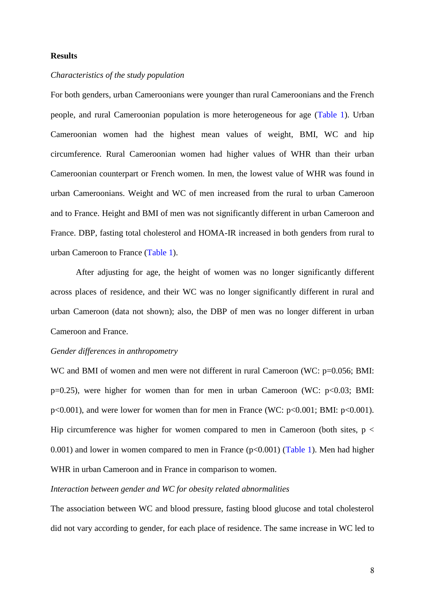#### **Results**

## *Characteristics of the study population*

For both genders, urban Cameroonians were younger than rural Cameroonians and the French people, and rural Cameroonian population is more heterogeneous for age (Table 1). Urban Cameroonian women had the highest mean values of weight, BMI, WC and hip circumference. Rural Cameroonian women had higher values of WHR than their urban Cameroonian counterpart or French women. In men, the lowest value of WHR was found in urban Cameroonians. Weight and WC of men increased from the rural to urban Cameroon and to France. Height and BMI of men was not significantly different in urban Cameroon and France. DBP, fasting total cholesterol and HOMA-IR increased in both genders from rural to urban Cameroon to France (Table 1).

After adjusting for age, the height of women was no longer significantly different across places of residence, and their WC was no longer significantly different in rural and urban Cameroon (data not shown); also, the DBP of men was no longer different in urban Cameroon and France.

#### *Gender differences in anthropometry*

WC and BMI of women and men were not different in rural Cameroon (WC: p=0.056; BMI:  $p=0.25$ ), were higher for women than for men in urban Cameroon (WC:  $p<0.03$ ; BMI: p<0.001), and were lower for women than for men in France (WC: p<0.001; BMI: p<0.001). Hip circumference was higher for women compared to men in Cameroon (both sites,  $p <$ 0.001) and lower in women compared to men in France  $(p<0.001)$  (Table 1). Men had higher WHR in urban Cameroon and in France in comparison to women.

## *Interaction between gender and WC for obesity related abnormalities*

The association between WC and blood pressure, fasting blood glucose and total cholesterol did not vary according to gender, for each place of residence. The same increase in WC led to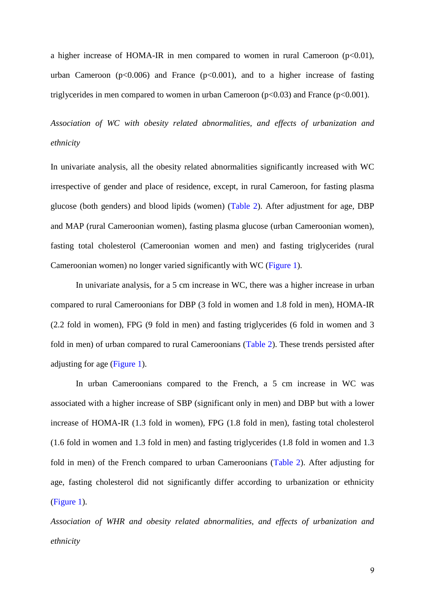a higher increase of HOMA-IR in men compared to women in rural Cameroon  $(p<0.01)$ , urban Cameroon ( $p<0.006$ ) and France ( $p<0.001$ ), and to a higher increase of fasting triglycerides in men compared to women in urban Cameroon  $(p<0.03)$  and France  $(p<0.001)$ .

*Association of WC with obesity related abnormalities, and effects of urbanization and ethnicity*

In univariate analysis, all the obesity related abnormalities significantly increased with WC irrespective of gender and place of residence, except, in rural Cameroon, for fasting plasma glucose (both genders) and blood lipids (women) (Table 2). After adjustment for age, DBP and MAP (rural Cameroonian women), fasting plasma glucose (urban Cameroonian women), fasting total cholesterol (Cameroonian women and men) and fasting triglycerides (rural Cameroonian women) no longer varied significantly with WC (Figure 1).

In univariate analysis, for a 5 cm increase in WC, there was a higher increase in urban compared to rural Cameroonians for DBP (3 fold in women and 1.8 fold in men), HOMA-IR (2.2 fold in women), FPG (9 fold in men) and fasting triglycerides (6 fold in women and 3 fold in men) of urban compared to rural Cameroonians (Table 2). These trends persisted after adjusting for age (Figure 1).

In urban Cameroonians compared to the French, a 5 cm increase in WC was associated with a higher increase of SBP (significant only in men) and DBP but with a lower increase of HOMA-IR (1.3 fold in women), FPG (1.8 fold in men), fasting total cholesterol (1.6 fold in women and 1.3 fold in men) and fasting triglycerides (1.8 fold in women and 1.3 fold in men) of the French compared to urban Cameroonians (Table 2). After adjusting for age, fasting cholesterol did not significantly differ according to urbanization or ethnicity (Figure 1).

*Association of WHR and obesity related abnormalities, and effects of urbanization and ethnicity*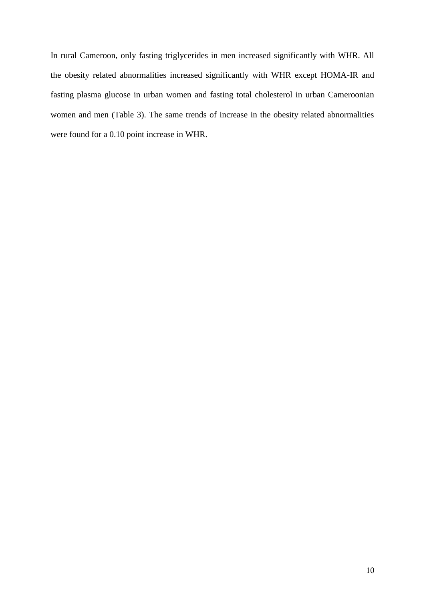In rural Cameroon, only fasting triglycerides in men increased significantly with WHR. All the obesity related abnormalities increased significantly with WHR except HOMA-IR and fasting plasma glucose in urban women and fasting total cholesterol in urban Cameroonian women and men (Table 3). The same trends of increase in the obesity related abnormalities were found for a 0.10 point increase in WHR.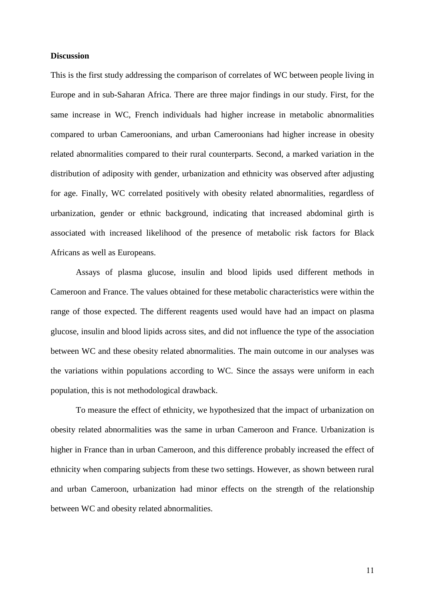#### **Discussion**

This is the first study addressing the comparison of correlates of WC between people living in Europe and in sub-Saharan Africa. There are three major findings in our study. First, for the same increase in WC, French individuals had higher increase in metabolic abnormalities compared to urban Cameroonians, and urban Cameroonians had higher increase in obesity related abnormalities compared to their rural counterparts. Second, a marked variation in the distribution of adiposity with gender, urbanization and ethnicity was observed after adjusting for age. Finally, WC correlated positively with obesity related abnormalities, regardless of urbanization, gender or ethnic background, indicating that increased abdominal girth is associated with increased likelihood of the presence of metabolic risk factors for Black Africans as well as Europeans.

Assays of plasma glucose, insulin and blood lipids used different methods in Cameroon and France. The values obtained for these metabolic characteristics were within the range of those expected. The different reagents used would have had an impact on plasma glucose, insulin and blood lipids across sites, and did not influence the type of the association between WC and these obesity related abnormalities. The main outcome in our analyses was the variations within populations according to WC. Since the assays were uniform in each population, this is not methodological drawback.

To measure the effect of ethnicity, we hypothesized that the impact of urbanization on obesity related abnormalities was the same in urban Cameroon and France. Urbanization is higher in France than in urban Cameroon, and this difference probably increased the effect of ethnicity when comparing subjects from these two settings. However, as shown between rural and urban Cameroon, urbanization had minor effects on the strength of the relationship between WC and obesity related abnormalities.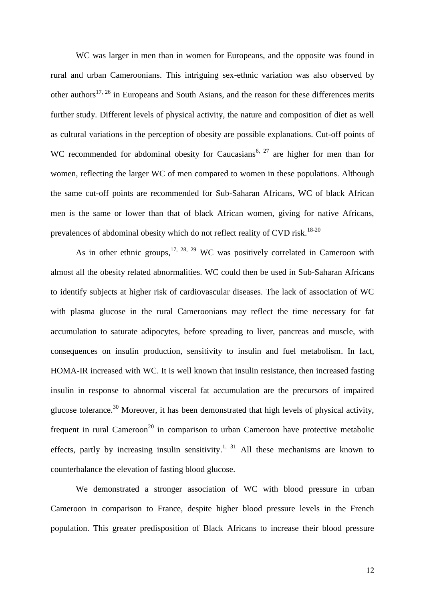WC was larger in men than in women for Europeans, and the opposite was found in rural and urban Cameroonians. This intriguing sex-ethnic variation was also observed by other authors<sup>17, 26</sup> in Europeans and South Asians, and the reason for these differences merits further study. Different levels of physical activity, the nature and composition of diet as well as cultural variations in the perception of obesity are possible explanations. Cut-off points of WC recommended for abdominal obesity for Caucasians<sup>6, 27</sup> are higher for men than for women, reflecting the larger WC of men compared to women in these populations. Although the same cut-off points are recommended for Sub-Saharan Africans, WC of black African men is the same or lower than that of black African women, giving for native Africans, prevalences of abdominal obesity which do not reflect reality of CVD risk.<sup>18-20</sup>

As in other ethnic groups,  $17, 28, 29$  WC was positively correlated in Cameroon with almost all the obesity related abnormalities. WC could then be used in Sub-Saharan Africans to identify subjects at higher risk of cardiovascular diseases. The lack of association of WC with plasma glucose in the rural Cameroonians may reflect the time necessary for fat accumulation to saturate adipocytes, before spreading to liver, pancreas and muscle, with consequences on insulin production, sensitivity to insulin and fuel metabolism. In fact, HOMA-IR increased with WC. It is well known that insulin resistance, then increased fasting insulin in response to abnormal visceral fat accumulation are the precursors of impaired glucose tolerance.<sup>30</sup> Moreover, it has been demonstrated that high levels of physical activity, frequent in rural Cameroon<sup>20</sup> in comparison to urban Cameroon have protective metabolic effects, partly by increasing insulin sensitivity.<sup>1, 31</sup> All these mechanisms are known to counterbalance the elevation of fasting blood glucose.

We demonstrated a stronger association of WC with blood pressure in urban Cameroon in comparison to France, despite higher blood pressure levels in the French population. This greater predisposition of Black Africans to increase their blood pressure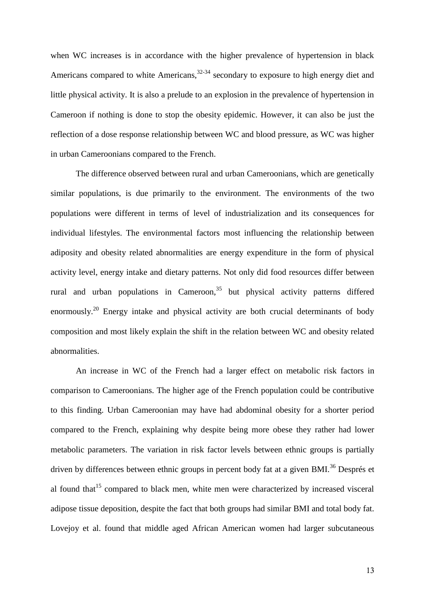when WC increases is in accordance with the higher prevalence of hypertension in black Americans compared to white Americans,<sup>32-34</sup> secondary to exposure to high energy diet and little physical activity. It is also a prelude to an explosion in the prevalence of hypertension in Cameroon if nothing is done to stop the obesity epidemic. However, it can also be just the reflection of a dose response relationship between WC and blood pressure, as WC was higher in urban Cameroonians compared to the French.

The difference observed between rural and urban Cameroonians, which are genetically similar populations, is due primarily to the environment. The environments of the two populations were different in terms of level of industrialization and its consequences for individual lifestyles. The environmental factors most influencing the relationship between adiposity and obesity related abnormalities are energy expenditure in the form of physical activity level, energy intake and dietary patterns. Not only did food resources differ between rural and urban populations in Cameroon, $35$  but physical activity patterns differed enormously.<sup>20</sup> Energy intake and physical activity are both crucial determinants of body composition and most likely explain the shift in the relation between WC and obesity related abnormalities.

An increase in WC of the French had a larger effect on metabolic risk factors in comparison to Cameroonians. The higher age of the French population could be contributive to this finding. Urban Cameroonian may have had abdominal obesity for a shorter period compared to the French, explaining why despite being more obese they rather had lower metabolic parameters. The variation in risk factor levels between ethnic groups is partially driven by differences between ethnic groups in percent body fat at a given BMI.<sup>36</sup> Després et al found that<sup>15</sup> compared to black men, white men were characterized by increased visceral adipose tissue deposition, despite the fact that both groups had similar BMI and total body fat. Lovejoy et al. found that middle aged African American women had larger subcutaneous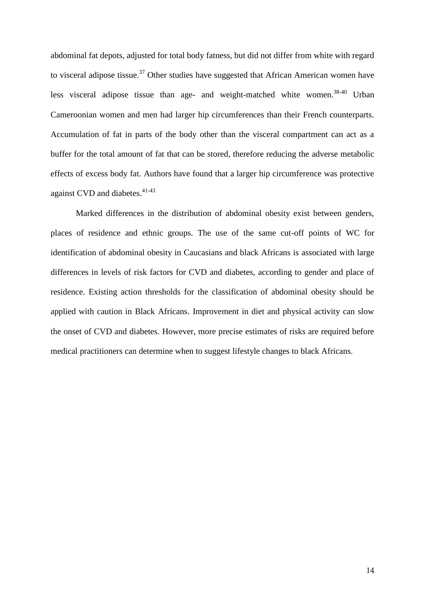abdominal fat depots, adjusted for total body fatness, but did not differ from white with regard to visceral adipose tissue.<sup>37</sup> Other studies have suggested that African American women have less visceral adipose tissue than age- and weight-matched white women.<sup>38-40</sup> Urban Cameroonian women and men had larger hip circumferences than their French counterparts. Accumulation of fat in parts of the body other than the visceral compartment can act as a buffer for the total amount of fat that can be stored, therefore reducing the adverse metabolic effects of excess body fat. Authors have found that a larger hip circumference was protective against CVD and diabetes.<sup>41-43</sup>

Marked differences in the distribution of abdominal obesity exist between genders, places of residence and ethnic groups. The use of the same cut-off points of WC for identification of abdominal obesity in Caucasians and black Africans is associated with large differences in levels of risk factors for CVD and diabetes, according to gender and place of residence. Existing action thresholds for the classification of abdominal obesity should be applied with caution in Black Africans. Improvement in diet and physical activity can slow the onset of CVD and diabetes. However, more precise estimates of risks are required before medical practitioners can determine when to suggest lifestyle changes to black Africans.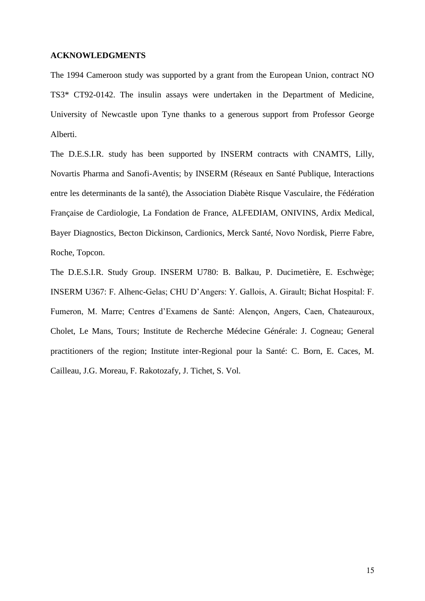## **ACKNOWLEDGMENTS**

The 1994 Cameroon study was supported by a grant from the European Union, contract NO TS3\* CT92-0142. The insulin assays were undertaken in the Department of Medicine, University of Newcastle upon Tyne thanks to a generous support from Professor George Alberti.

The D.E.S.I.R. study has been supported by INSERM contracts with CNAMTS, Lilly, Novartis Pharma and Sanofi-Aventis; by INSERM (Réseaux en Santé Publique, Interactions entre les determinants de la santé), the Association Diabète Risque Vasculaire, the Fédération Française de Cardiologie, La Fondation de France, ALFEDIAM, ONIVINS, Ardix Medical, Bayer Diagnostics, Becton Dickinson, Cardionics, Merck Santé, Novo Nordisk, Pierre Fabre, Roche, Topcon.

The D.E.S.I.R. Study Group. INSERM U780: B. Balkau, P. Ducimetière, E. Eschwège; INSERM U367: F. Alhenc-Gelas; CHU D'Angers: Y. Gallois, A. Girault; Bichat Hospital: F. Fumeron, M. Marre; Centres d'Examens de Santé: Alençon, Angers, Caen, Chateauroux, Cholet, Le Mans, Tours; Institute de Recherche Médecine Générale: J. Cogneau; General practitioners of the region; Institute inter-Regional pour la Santé: C. Born, E. Caces, M. Cailleau, J.G. Moreau, F. Rakotozafy, J. Tichet, S. Vol.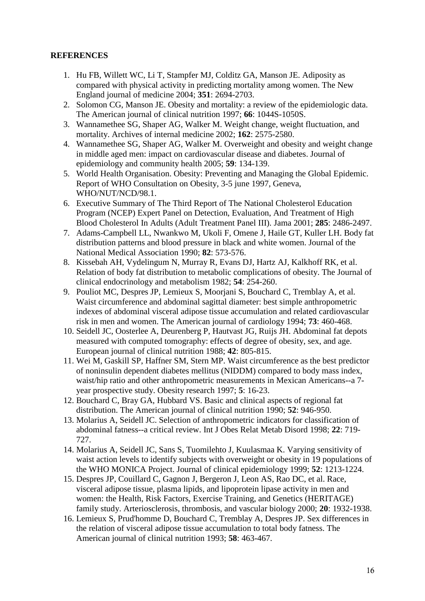## **REFERENCES**

- 1. Hu FB, Willett WC, Li T, Stampfer MJ, Colditz GA, Manson JE. Adiposity as compared with physical activity in predicting mortality among women. The New England journal of medicine 2004; **351**: 2694-2703.
- 2. Solomon CG, Manson JE. Obesity and mortality: a review of the epidemiologic data. The American journal of clinical nutrition 1997; **66**: 1044S-1050S.
- 3. Wannamethee SG, Shaper AG, Walker M. Weight change, weight fluctuation, and mortality. Archives of internal medicine 2002; **162**: 2575-2580.
- 4. Wannamethee SG, Shaper AG, Walker M. Overweight and obesity and weight change in middle aged men: impact on cardiovascular disease and diabetes. Journal of epidemiology and community health 2005; **59**: 134-139.
- 5. World Health Organisation. Obesity: Preventing and Managing the Global Epidemic. Report of WHO Consultation on Obesity, 3-5 june 1997, Geneva, WHO/NUT/NCD/98.1.
- 6. Executive Summary of The Third Report of The National Cholesterol Education Program (NCEP) Expert Panel on Detection, Evaluation, And Treatment of High Blood Cholesterol In Adults (Adult Treatment Panel III). Jama 2001; **285**: 2486-2497.
- 7. Adams-Campbell LL, Nwankwo M, Ukoli F, Omene J, Haile GT, Kuller LH. Body fat distribution patterns and blood pressure in black and white women. Journal of the National Medical Association 1990; **82**: 573-576.
- 8. Kissebah AH, Vydelingum N, Murray R, Evans DJ, Hartz AJ, Kalkhoff RK, et al. Relation of body fat distribution to metabolic complications of obesity. The Journal of clinical endocrinology and metabolism 1982; **54**: 254-260.
- 9. Pouliot MC, Despres JP, Lemieux S, Moorjani S, Bouchard C, Tremblay A, et al. Waist circumference and abdominal sagittal diameter: best simple anthropometric indexes of abdominal visceral adipose tissue accumulation and related cardiovascular risk in men and women. The American journal of cardiology 1994; **73**: 460-468.
- 10. Seidell JC, Oosterlee A, Deurenberg P, Hautvast JG, Ruijs JH. Abdominal fat depots measured with computed tomography: effects of degree of obesity, sex, and age. European journal of clinical nutrition 1988; **42**: 805-815.
- 11. Wei M, Gaskill SP, Haffner SM, Stern MP. Waist circumference as the best predictor of noninsulin dependent diabetes mellitus (NIDDM) compared to body mass index, waist/hip ratio and other anthropometric measurements in Mexican Americans--a 7 year prospective study. Obesity research 1997; **5**: 16-23.
- 12. Bouchard C, Bray GA, Hubbard VS. Basic and clinical aspects of regional fat distribution. The American journal of clinical nutrition 1990; **52**: 946-950.
- 13. Molarius A, Seidell JC. Selection of anthropometric indicators for classification of abdominal fatness--a critical review. Int J Obes Relat Metab Disord 1998; **22**: 719- 727.
- 14. Molarius A, Seidell JC, Sans S, Tuomilehto J, Kuulasmaa K. Varying sensitivity of waist action levels to identify subjects with overweight or obesity in 19 populations of the WHO MONICA Project. Journal of clinical epidemiology 1999; **52**: 1213-1224.
- 15. Despres JP, Couillard C, Gagnon J, Bergeron J, Leon AS, Rao DC, et al. Race, visceral adipose tissue, plasma lipids, and lipoprotein lipase activity in men and women: the Health, Risk Factors, Exercise Training, and Genetics (HERITAGE) family study. Arteriosclerosis, thrombosis, and vascular biology 2000; **20**: 1932-1938.
- 16. Lemieux S, Prud'homme D, Bouchard C, Tremblay A, Despres JP. Sex differences in the relation of visceral adipose tissue accumulation to total body fatness. The American journal of clinical nutrition 1993; **58**: 463-467.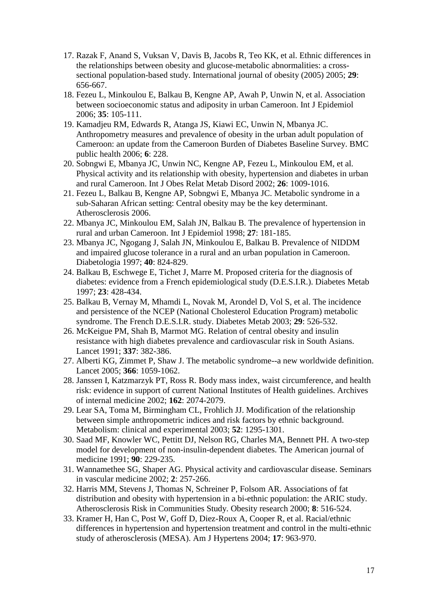- 17. Razak F, Anand S, Vuksan V, Davis B, Jacobs R, Teo KK, et al. Ethnic differences in the relationships between obesity and glucose-metabolic abnormalities: a crosssectional population-based study. International journal of obesity (2005) 2005; **29**: 656-667.
- 18. Fezeu L, Minkoulou E, Balkau B, Kengne AP, Awah P, Unwin N, et al. Association between socioeconomic status and adiposity in urban Cameroon. Int J Epidemiol 2006; **35**: 105-111.
- 19. Kamadjeu RM, Edwards R, Atanga JS, Kiawi EC, Unwin N, Mbanya JC. Anthropometry measures and prevalence of obesity in the urban adult population of Cameroon: an update from the Cameroon Burden of Diabetes Baseline Survey. BMC public health 2006; **6**: 228.
- 20. Sobngwi E, Mbanya JC, Unwin NC, Kengne AP, Fezeu L, Minkoulou EM, et al. Physical activity and its relationship with obesity, hypertension and diabetes in urban and rural Cameroon. Int J Obes Relat Metab Disord 2002; **26**: 1009-1016.
- 21. Fezeu L, Balkau B, Kengne AP, Sobngwi E, Mbanya JC. Metabolic syndrome in a sub-Saharan African setting: Central obesity may be the key determinant. Atherosclerosis 2006.
- 22. Mbanya JC, Minkoulou EM, Salah JN, Balkau B. The prevalence of hypertension in rural and urban Cameroon. Int J Epidemiol 1998; **27**: 181-185.
- 23. Mbanya JC, Ngogang J, Salah JN, Minkoulou E, Balkau B. Prevalence of NIDDM and impaired glucose tolerance in a rural and an urban population in Cameroon. Diabetologia 1997; **40**: 824-829.
- 24. Balkau B, Eschwege E, Tichet J, Marre M. Proposed criteria for the diagnosis of diabetes: evidence from a French epidemiological study (D.E.S.I.R.). Diabetes Metab 1997; **23**: 428-434.
- 25. Balkau B, Vernay M, Mhamdi L, Novak M, Arondel D, Vol S, et al. The incidence and persistence of the NCEP (National Cholesterol Education Program) metabolic syndrome. The French D.E.S.I.R. study. Diabetes Metab 2003; **29**: 526-532.
- 26. McKeigue PM, Shah B, Marmot MG. Relation of central obesity and insulin resistance with high diabetes prevalence and cardiovascular risk in South Asians. Lancet 1991; **337**: 382-386.
- 27. Alberti KG, Zimmet P, Shaw J. The metabolic syndrome--a new worldwide definition. Lancet 2005; **366**: 1059-1062.
- 28. Janssen I, Katzmarzyk PT, Ross R. Body mass index, waist circumference, and health risk: evidence in support of current National Institutes of Health guidelines. Archives of internal medicine 2002; **162**: 2074-2079.
- 29. Lear SA, Toma M, Birmingham CL, Frohlich JJ. Modification of the relationship between simple anthropometric indices and risk factors by ethnic background. Metabolism: clinical and experimental 2003; **52**: 1295-1301.
- 30. Saad MF, Knowler WC, Pettitt DJ, Nelson RG, Charles MA, Bennett PH. A two-step model for development of non-insulin-dependent diabetes. The American journal of medicine 1991; **90**: 229-235.
- 31. Wannamethee SG, Shaper AG. Physical activity and cardiovascular disease. Seminars in vascular medicine 2002; **2**: 257-266.
- 32. Harris MM, Stevens J, Thomas N, Schreiner P, Folsom AR. Associations of fat distribution and obesity with hypertension in a bi-ethnic population: the ARIC study. Atherosclerosis Risk in Communities Study. Obesity research 2000; **8**: 516-524.
- 33. Kramer H, Han C, Post W, Goff D, Diez-Roux A, Cooper R, et al. Racial/ethnic differences in hypertension and hypertension treatment and control in the multi-ethnic study of atherosclerosis (MESA). Am J Hypertens 2004; **17**: 963-970.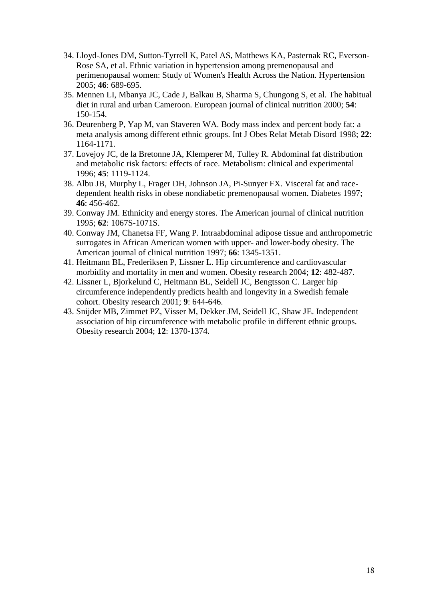- 34. Lloyd-Jones DM, Sutton-Tyrrell K, Patel AS, Matthews KA, Pasternak RC, Everson-Rose SA, et al. Ethnic variation in hypertension among premenopausal and perimenopausal women: Study of Women's Health Across the Nation. Hypertension 2005; **46**: 689-695.
- 35. Mennen LI, Mbanya JC, Cade J, Balkau B, Sharma S, Chungong S, et al. The habitual diet in rural and urban Cameroon. European journal of clinical nutrition 2000; **54**: 150-154.
- 36. Deurenberg P, Yap M, van Staveren WA. Body mass index and percent body fat: a meta analysis among different ethnic groups. Int J Obes Relat Metab Disord 1998; **22**: 1164-1171.
- 37. Lovejoy JC, de la Bretonne JA, Klemperer M, Tulley R. Abdominal fat distribution and metabolic risk factors: effects of race. Metabolism: clinical and experimental 1996; **45**: 1119-1124.
- 38. Albu JB, Murphy L, Frager DH, Johnson JA, Pi-Sunyer FX. Visceral fat and racedependent health risks in obese nondiabetic premenopausal women. Diabetes 1997; **46**: 456-462.
- 39. Conway JM. Ethnicity and energy stores. The American journal of clinical nutrition 1995; **62**: 1067S-1071S.
- 40. Conway JM, Chanetsa FF, Wang P. Intraabdominal adipose tissue and anthropometric surrogates in African American women with upper- and lower-body obesity. The American journal of clinical nutrition 1997; **66**: 1345-1351.
- 41. Heitmann BL, Frederiksen P, Lissner L. Hip circumference and cardiovascular morbidity and mortality in men and women. Obesity research 2004; **12**: 482-487.
- 42. Lissner L, Bjorkelund C, Heitmann BL, Seidell JC, Bengtsson C. Larger hip circumference independently predicts health and longevity in a Swedish female cohort. Obesity research 2001; **9**: 644-646.
- 43. Snijder MB, Zimmet PZ, Visser M, Dekker JM, Seidell JC, Shaw JE. Independent association of hip circumference with metabolic profile in different ethnic groups. Obesity research 2004; **12**: 1370-1374.